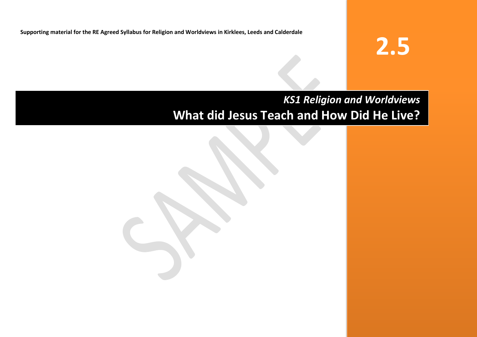**Supporting material for the RE Agreed Syllabus for Religion and Worldviews in Kirklees, Leeds and Calderdale**

# **2.5**

## *KS1 Religion and Worldviews* **What did Jesus Teach and How Did He Live?**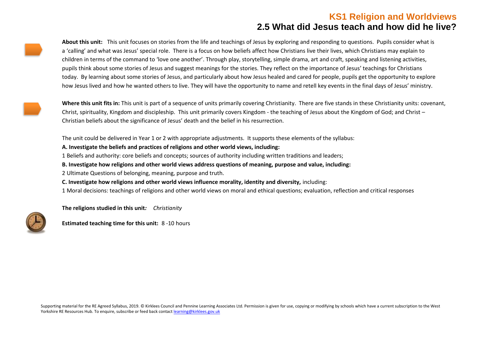**About this unit:** This unit focuses on stories from the life and teachings of Jesus by exploring and responding to questions. Pupils consider what is a 'calling' and what was Jesus' special role. There is a focus on how beliefs affect how Christians live their lives, which Christians may explain to children in terms of the command to 'love one another'. Through play, storytelling, simple drama, art and craft, speaking and listening activities, pupils think about some stories of Jesus and suggest meanings for the stories. They reflect on the importance of Jesus' teachings for Christians today. By learning about some stories of Jesus, and particularly about how Jesus healed and cared for people, pupils get the opportunity to explore how Jesus lived and how he wanted others to live. They will have the opportunity to name and retell key events in the final days of Jesus' ministry.

**Where this unit fits in:** This unit is part of a sequence of units primarily covering Christianity. There are five stands in these Christianity units: covenant, Christ, spirituality, Kingdom and discipleship. This unit primarily covers Kingdom - the teaching of Jesus about the Kingdom of God; and Christ – Christian beliefs about the significance of Jesus' death and the belief in his resurrection.

The unit could be delivered in Year 1 or 2 with appropriate adjustments. It supports these elements of the syllabus:

#### **A. Investigate the beliefs and practices of religions and other world views, including:**

1 Beliefs and authority: core beliefs and concepts; sources of authority including written traditions and leaders;

**B. Investigate how religions and other world views address questions of meaning, purpose and value, including:**

2 Ultimate Questions of belonging, meaning, purpose and truth.

**C. Investigate how religions and other world views influence morality, identity and diversity,** including:

1 Moral decisions: teachings of religions and other world views on moral and ethical questions; evaluation, reflection and critical responses

**The religions studied in this unit***: Christianity*



**Estimated teaching time for this unit:** 8 -10 hours

Supporting material for the RE Agreed Syllabus, 2019. © Kirklees Council and Pennine Learning Associates Ltd. Permission is given for use, copying or modifying by schools which have a current subscription to the West Yorkshire RE Resources Hub. To enquire, subscribe or feed back contac[t learning@kirklees.gov.uk](mailto:learning@kirklees.gov.uk)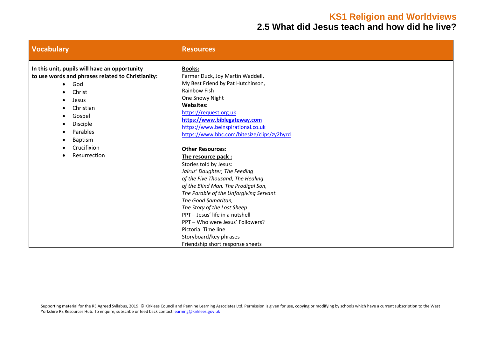## **KS1 Religion and Worldviews**

## **2.5 What did Jesus teach and how did he live?**

| <b>Vocabulary</b>                                                                                                                                                                                                                  | <b>Resources</b>                                                                                                                                                                                                                                                                                                                                                                                                              |
|------------------------------------------------------------------------------------------------------------------------------------------------------------------------------------------------------------------------------------|-------------------------------------------------------------------------------------------------------------------------------------------------------------------------------------------------------------------------------------------------------------------------------------------------------------------------------------------------------------------------------------------------------------------------------|
| In this unit, pupils will have an opportunity<br>to use words and phrases related to Christianity:<br>God<br>$\bullet$<br>Christ<br>Jesus<br>Christian<br>Gospel<br>Disciple<br>Parables<br>Baptism<br>Crucifixion<br>Resurrection | <b>Books:</b><br>Farmer Duck, Joy Martin Waddell,<br>My Best Friend by Pat Hutchinson,<br>Rainbow Fish<br>One Snowy Night<br><b>Websites:</b><br>https://request.org.uk<br>https://www.biblegateway.com<br>https://www.beinspirational.co.uk<br>https://www.bbc.com/bitesize/clips/zy2hyrd<br><b>Other Resources:</b>                                                                                                         |
|                                                                                                                                                                                                                                    | The resource pack:<br>Stories told by Jesus:<br>Jairus' Daughter, The Feeding<br>of the Five Thousand, The Healing<br>of the Blind Man, The Prodigal Son,<br>The Parable of the Unforgiving Servant.<br>The Good Samaritan,<br>The Story of the Lost Sheep<br>PPT - Jesus' life in a nutshell<br>PPT - Who were Jesus' Followers?<br><b>Pictorial Time line</b><br>Storyboard/key phrases<br>Friendship short response sheets |

Supporting material for the RE Agreed Syllabus, 2019. © Kirklees Council and Pennine Learning Associates Ltd. Permission is given for use, copying or modifying by schools which have a current subscription to the West Yorkshire RE Resources Hub. To enquire, subscribe or feed back contac[t learning@kirklees.gov.uk](mailto:learning@kirklees.gov.uk)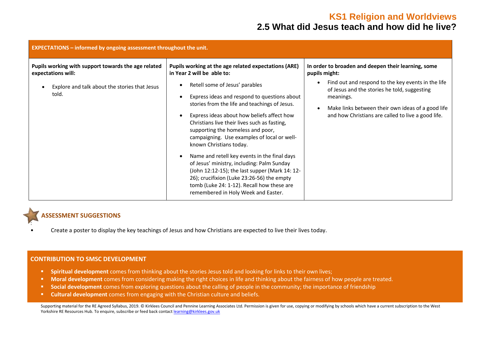| <b>EXPECTATIONS - informed by ongoing assessment throughout the unit.</b>                                                           |                                                                                                                                                                                                                                                                                                                                                                                                                                                                                                                                                                                                                                                                                                                       |                                                                                                                                                                                                                                                                                                    |  |  |  |
|-------------------------------------------------------------------------------------------------------------------------------------|-----------------------------------------------------------------------------------------------------------------------------------------------------------------------------------------------------------------------------------------------------------------------------------------------------------------------------------------------------------------------------------------------------------------------------------------------------------------------------------------------------------------------------------------------------------------------------------------------------------------------------------------------------------------------------------------------------------------------|----------------------------------------------------------------------------------------------------------------------------------------------------------------------------------------------------------------------------------------------------------------------------------------------------|--|--|--|
| Pupils working with support towards the age related<br>expectations will:<br>Explore and talk about the stories that Jesus<br>told. | Pupils working at the age related expectations (ARE)<br>in Year 2 will be able to:<br>Retell some of Jesus' parables<br>Express ideas and respond to questions about<br>stories from the life and teachings of Jesus.<br>Express ideas about how beliefs affect how<br>Christians live their lives such as fasting,<br>supporting the homeless and poor,<br>campaigning. Use examples of local or well-<br>known Christians today.<br>Name and retell key events in the final days<br>of Jesus' ministry, including: Palm Sunday<br>(John 12:12-15); the last supper (Mark 14: 12-<br>26); crucifixion (Luke 23:26-56) the empty<br>tomb (Luke 24: 1-12). Recall how these are<br>remembered in Holy Week and Easter. | In order to broaden and deepen their learning, some<br>pupils might:<br>Find out and respond to the key events in the life<br>of Jesus and the stories he told, suggesting<br>meanings.<br>Make links between their own ideas of a good life<br>and how Christians are called to live a good life. |  |  |  |

#### **ASSESSMENT SUGGESTIONS**

:

• Create a poster to display the key teachings of Jesus and how Christians are expected to live their lives today.

#### **CONTRIBUTION TO SMSC DEVELOPMENT**

- **Spiritual development** comes from thinking about the stories Jesus told and looking for links to their own lives;
- **■** Moral development comes from considering making the right choices in life and thinking about the fairness of how people are treated.
- **Social development** comes from exploring questions about the calling of people in the community; the importance of friendship
- **Cultural development** comes from engaging with the Christian culture and beliefs.

Supporting material for the RE Agreed Syllabus, 2019. © Kirklees Council and Pennine Learning Associates Ltd. Permission is given for use, copying or modifying by schools which have a current subscription to the West Yorkshire RE Resources Hub. To enquire, subscribe or feed back contac[t learning@kirklees.gov.uk](mailto:learning@kirklees.gov.uk)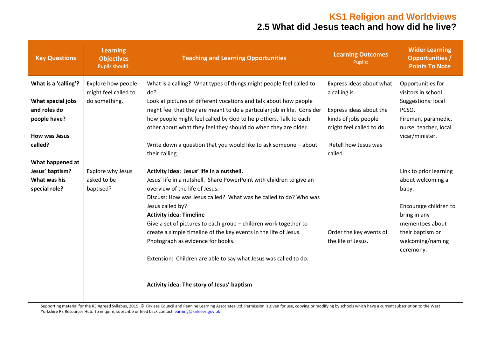| <b>Key Questions</b>              | <b>Learning</b><br><b>Objectives</b><br>Pupils should: | <b>Teaching and Learning Opportunities</b>                                                                                                   | <b>Learning Outcomes</b><br>Pupils:       | <b>Wider Learning</b><br><b>Opportunities /</b><br><b>Points To Note</b> |
|-----------------------------------|--------------------------------------------------------|----------------------------------------------------------------------------------------------------------------------------------------------|-------------------------------------------|--------------------------------------------------------------------------|
| What is a 'calling'?              | Explore how people<br>might feel called to             | What is a calling? What types of things might people feel called to<br>do?                                                                   | Express ideas about what<br>a calling is. | Opportunities for<br>visitors in school                                  |
| What special jobs<br>and roles do | do something.                                          | Look at pictures of different vocations and talk about how people<br>might feel that they are meant to do a particular job in life. Consider | Express ideas about the                   | Suggestions: local<br>PCSO,                                              |
| people have?                      |                                                        | how people might feel called by God to help others. Talk to each                                                                             | kinds of jobs people                      | Fireman, paramedic,                                                      |
| How was Jesus                     |                                                        | other about what they feel they should do when they are older.                                                                               | might feel called to do.                  | nurse, teacher, local<br>vicar/minister.                                 |
| called?                           |                                                        | Write down a question that you would like to ask someone - about<br>their calling.                                                           | Retell how Jesus was<br>called.           |                                                                          |
| What happened at                  |                                                        |                                                                                                                                              |                                           |                                                                          |
| Jesus' baptism?                   | Explore why Jesus                                      | Activity idea: Jesus' life in a nutshell.                                                                                                    |                                           | Link to prior learning                                                   |
| What was his                      | asked to be                                            | Jesus' life in a nutshell. Share PowerPoint with children to give an<br>overview of the life of Jesus.                                       |                                           | about welcoming a                                                        |
| special role?                     | baptised?                                              | Discuss: How was Jesus called? What was he called to do? Who was                                                                             |                                           | baby.                                                                    |
|                                   |                                                        | Jesus called by?                                                                                                                             |                                           | Encourage children to                                                    |
|                                   |                                                        | <b>Activity idea: Timeline</b>                                                                                                               |                                           | bring in any                                                             |
|                                   |                                                        | Give a set of pictures to each group - children work together to                                                                             |                                           | mementoes about                                                          |
|                                   |                                                        | create a simple timeline of the key events in the life of Jesus.                                                                             | Order the key events of                   | their baptism or                                                         |
|                                   |                                                        | Photograph as evidence for books.                                                                                                            | the life of Jesus.                        | welcoming/naming<br>ceremony.                                            |
|                                   |                                                        | Extension: Children are able to say what Jesus was called to do.                                                                             |                                           |                                                                          |
|                                   |                                                        | Activity idea: The story of Jesus' baptism                                                                                                   |                                           |                                                                          |

Supporting material for the RE Agreed Syllabus, 2019. © Kirklees Council and Pennine Learning Associates Ltd. Permission is given for use, copying or modifying by schools which have a current subscription to the West Yorkshire RE Resources Hub. To enquire, subscribe or feed back contac[t learning@kirklees.gov.uk](mailto:learning@kirklees.gov.uk)